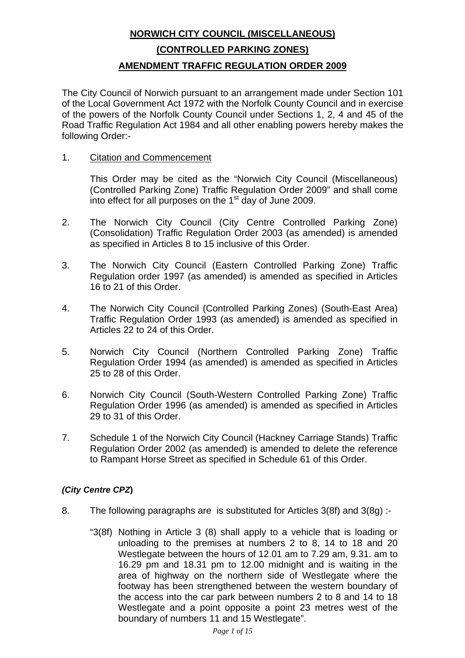## **NORWICH CITY COUNCIL (MISCELLANEOUS) (CONTROLLED PARKING ZONES) AMENDMENT TRAFFIC REGULATION ORDER 2009**

The City Council of Norwich pursuant to an arrangement made under Section 101 of the Local Government Act 1972 with the Norfolk County Council and in exercise of the powers of the Norfolk County Council under Sections 1, 2, 4 and 45 of the Road Traffic Regulation Act 1984 and all other enabling powers hereby makes the following Order:-

### 1. Citation and Commencement

 This Order may be cited as the "Norwich City Council (Miscellaneous) (Controlled Parking Zone) Traffic Regulation Order 2009" and shall come into effect for all purposes on the  $1<sup>st</sup>$  day of June 2009.

- 2. The Norwich City Council (City Centre Controlled Parking Zone) (Consolidation) Traffic Regulation Order 2003 (as amended) is amended as specified in Articles 8 to 15 inclusive of this Order.
- 3. The Norwich City Council (Eastern Controlled Parking Zone) Traffic Regulation order 1997 (as amended) is amended as specified in Articles 16 to 21 of this Order.
- 4. The Norwich City Council (Controlled Parking Zones) (South-East Area) Traffic Regulation Order 1993 (as amended) is amended as specified in Articles 22 to 24 of this Order.
- 5. Norwich City Council (Northern Controlled Parking Zone) Traffic Regulation Order 1994 (as amended) is amended as specified in Articles 25 to 28 of this Order.
- 6. Norwich City Council (South-Western Controlled Parking Zone) Traffic Regulation Order 1996 (as amended) is amended as specified in Articles 29 to 31 of this Order.
- 7. Schedule 1 of the Norwich City Council (Hackney Carriage Stands) Traffic Regulation Order 2002 (as amended) is amended to delete the reference to Rampant Horse Street as specified in Schedule 61 of this Order.

### *(City Centre CPZ***)**

- 8. The following paragraphs are is substituted for Articles 3(8f) and 3(8g) :-
	- "3(8f) Nothing in Article 3 (8) shall apply to a vehicle that is loading or unloading to the premises at numbers 2 to 8, 14 to 18 and 20 Westlegate between the hours of 12.01 am to 7.29 am, 9.31. am to 16.29 pm and 18.31 pm to 12.00 midnight and is waiting in the area of highway on the northern side of Westlegate where the footway has been strengthened between the western boundary of the access into the car park between numbers 2 to 8 and 14 to 18 Westlegate and a point opposite a point 23 metres west of the boundary of numbers 11 and 15 Westlegate".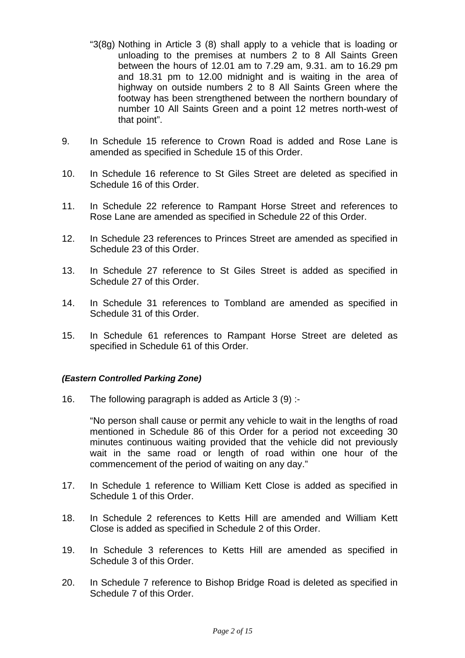- "3(8g) Nothing in Article 3 (8) shall apply to a vehicle that is loading or unloading to the premises at numbers 2 to 8 All Saints Green between the hours of 12.01 am to 7.29 am, 9.31. am to 16.29 pm and 18.31 pm to 12.00 midnight and is waiting in the area of highway on outside numbers 2 to 8 All Saints Green where the footway has been strengthened between the northern boundary of number 10 All Saints Green and a point 12 metres north-west of that point".
- 9. In Schedule 15 reference to Crown Road is added and Rose Lane is amended as specified in Schedule 15 of this Order.
- 10. In Schedule 16 reference to St Giles Street are deleted as specified in Schedule 16 of this Order.
- 11. In Schedule 22 reference to Rampant Horse Street and references to Rose Lane are amended as specified in Schedule 22 of this Order.
- 12. In Schedule 23 references to Princes Street are amended as specified in Schedule 23 of this Order.
- 13. In Schedule 27 reference to St Giles Street is added as specified in Schedule 27 of this Order.
- 14. In Schedule 31 references to Tombland are amended as specified in Schedule 31 of this Order.
- 15. In Schedule 61 references to Rampant Horse Street are deleted as specified in Schedule 61 of this Order.

### *(Eastern Controlled Parking Zone)*

16. The following paragraph is added as Article 3 (9) :-

 "No person shall cause or permit any vehicle to wait in the lengths of road mentioned in Schedule 86 of this Order for a period not exceeding 30 minutes continuous waiting provided that the vehicle did not previously wait in the same road or length of road within one hour of the commencement of the period of waiting on any day."

- 17. In Schedule 1 reference to William Kett Close is added as specified in Schedule 1 of this Order.
- 18. In Schedule 2 references to Ketts Hill are amended and William Kett Close is added as specified in Schedule 2 of this Order.
- 19. In Schedule 3 references to Ketts Hill are amended as specified in Schedule 3 of this Order.
- 20. In Schedule 7 reference to Bishop Bridge Road is deleted as specified in Schedule 7 of this Order.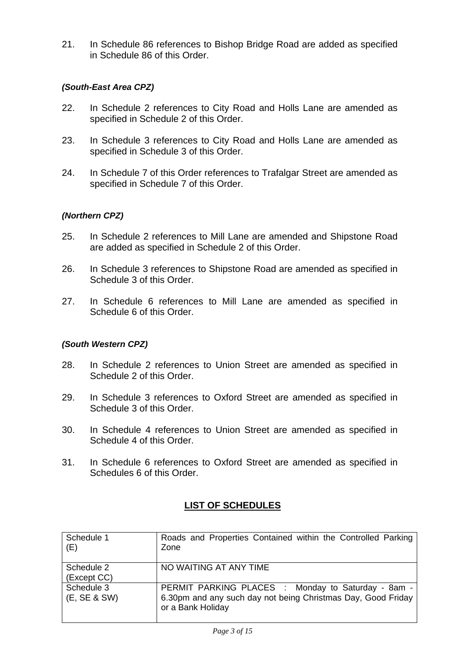21. In Schedule 86 references to Bishop Bridge Road are added as specified in Schedule 86 of this Order.

### *(South-East Area CPZ)*

- 22. In Schedule 2 references to City Road and Holls Lane are amended as specified in Schedule 2 of this Order.
- 23. In Schedule 3 references to City Road and Holls Lane are amended as specified in Schedule 3 of this Order.
- 24. In Schedule 7 of this Order references to Trafalgar Street are amended as specified in Schedule 7 of this Order.

### *(Northern CPZ)*

- 25. In Schedule 2 references to Mill Lane are amended and Shipstone Road are added as specified in Schedule 2 of this Order.
- 26. In Schedule 3 references to Shipstone Road are amended as specified in Schedule 3 of this Order.
- 27. In Schedule 6 references to Mill Lane are amended as specified in Schedule 6 of this Order.

### *(South Western CPZ)*

- 28. In Schedule 2 references to Union Street are amended as specified in Schedule 2 of this Order.
- 29. In Schedule 3 references to Oxford Street are amended as specified in Schedule 3 of this Order.
- 30. In Schedule 4 references to Union Street are amended as specified in Schedule 4 of this Order.
- 31. In Schedule 6 references to Oxford Street are amended as specified in Schedules 6 of this Order.

## **LIST OF SCHEDULES**

| Schedule 1<br>(E)          | Roads and Properties Contained within the Controlled Parking<br>Zone                                                                    |
|----------------------------|-----------------------------------------------------------------------------------------------------------------------------------------|
| Schedule 2<br>(Except CC)  | NO WAITING AT ANY TIME                                                                                                                  |
| Schedule 3<br>(E, SE & SW) | PERMIT PARKING PLACES : Monday to Saturday - 8am -<br>6.30pm and any such day not being Christmas Day, Good Friday<br>or a Bank Holiday |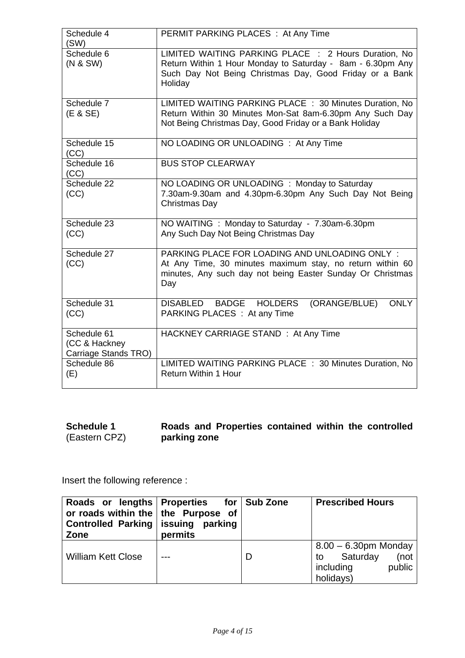| Schedule 4<br>(SW)                                   | PERMIT PARKING PLACES : At Any Time                                                                                                                                                      |
|------------------------------------------------------|------------------------------------------------------------------------------------------------------------------------------------------------------------------------------------------|
| Schedule 6<br>(N & SW)                               | LIMITED WAITING PARKING PLACE : 2 Hours Duration, No<br>Return Within 1 Hour Monday to Saturday - 8am - 6.30pm Any<br>Such Day Not Being Christmas Day, Good Friday or a Bank<br>Holiday |
| Schedule 7<br>(E & SE)                               | LIMITED WAITING PARKING PLACE : 30 Minutes Duration, No<br>Return Within 30 Minutes Mon-Sat 8am-6.30pm Any Such Day<br>Not Being Christmas Day, Good Friday or a Bank Holiday            |
| Schedule 15<br>(CC)                                  | NO LOADING OR UNLOADING : At Any Time                                                                                                                                                    |
| Schedule 16<br>(CC)                                  | <b>BUS STOP CLEARWAY</b>                                                                                                                                                                 |
| Schedule 22<br>(CC)                                  | NO LOADING OR UNLOADING : Monday to Saturday<br>7.30am-9.30am and 4.30pm-6.30pm Any Such Day Not Being<br>Christmas Day                                                                  |
| Schedule 23<br>(CC)                                  | NO WAITING : Monday to Saturday - 7.30am-6.30pm<br>Any Such Day Not Being Christmas Day                                                                                                  |
| Schedule 27<br>(CC)                                  | PARKING PLACE FOR LOADING AND UNLOADING ONLY:<br>At Any Time, 30 minutes maximum stay, no return within 60<br>minutes, Any such day not being Easter Sunday Or Christmas<br>Day          |
| Schedule 31<br>(CC)                                  | DISABLED BADGE HOLDERS<br>(ORANGE/BLUE)<br><b>ONLY</b><br>PARKING PLACES : At any Time                                                                                                   |
| Schedule 61<br>(CC & Hackney<br>Carriage Stands TRO) | HACKNEY CARRIAGE STAND: At Any Time                                                                                                                                                      |
| Schedule 86<br>(E)                                   | LIMITED WAITING PARKING PLACE : 30 Minutes Duration, No<br><b>Return Within 1 Hour</b>                                                                                                   |

| <b>Schedule 1</b> | Roads and Properties contained within the controlled |
|-------------------|------------------------------------------------------|
| (Eastern CPZ)     | parking zone                                         |

| Roads or lengths Properties for Sub Zone<br>or roads within the $ $ the Purpose of<br>Controlled Parking   issuing<br>Zone | parking<br>permits |   | <b>Prescribed Hours</b>                                                               |
|----------------------------------------------------------------------------------------------------------------------------|--------------------|---|---------------------------------------------------------------------------------------|
| <b>William Kett Close</b>                                                                                                  |                    | D | $8.00 - 6.30$ pm Monday<br>Saturday<br>(not<br>to<br>public<br>including<br>holidays) |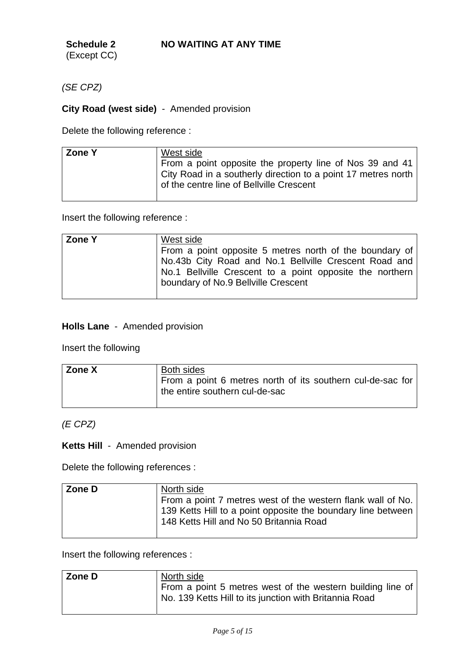**Schedule 2**  (Except CC)

*(SE CPZ)* 

## **City Road (west side)** - Amended provision

Delete the following reference :

Insert the following reference :

| <b>Zone Y</b> | West side                                                |
|---------------|----------------------------------------------------------|
|               | From a point opposite 5 metres north of the boundary of  |
|               | No.43b City Road and No.1 Bellville Crescent Road and    |
|               | No.1 Bellville Crescent to a point opposite the northern |
|               | boundary of No.9 Bellville Crescent                      |
|               |                                                          |

### **Holls Lane** - Amended provision

Insert the following

| Zone X | <b>Both sides</b>                                                                            |
|--------|----------------------------------------------------------------------------------------------|
|        | From a point 6 metres north of its southern cul-de-sac for<br>the entire southern cul-de-sac |

### *(E CPZ)*

## **Ketts Hill** - Amended provision

Delete the following references :

| Zone D | North side<br>From a point 7 metres west of the western flank wall of No.<br>139 Ketts Hill to a point opposite the boundary line between<br>148 Ketts Hill and No 50 Britannia Road |
|--------|--------------------------------------------------------------------------------------------------------------------------------------------------------------------------------------|
|        |                                                                                                                                                                                      |

| Zone D | North side                                                                                                           |
|--------|----------------------------------------------------------------------------------------------------------------------|
|        | From a point 5 metres west of the western building line of<br>No. 139 Ketts Hill to its junction with Britannia Road |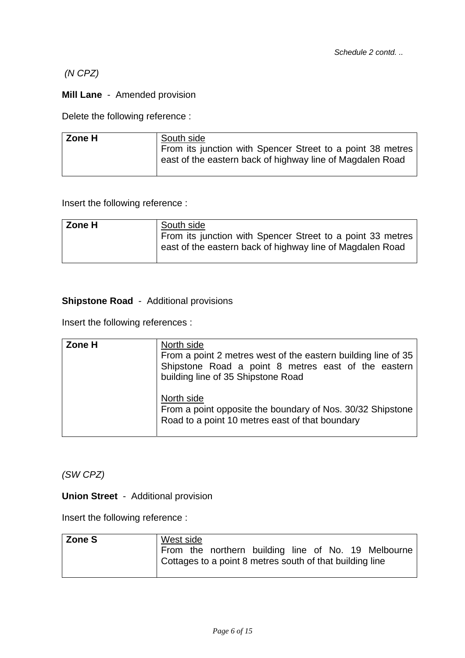## *(N CPZ)*

## **Mill Lane** - Amended provision

Delete the following reference :

| <b>Zone H</b> | South side                                                                                                              |
|---------------|-------------------------------------------------------------------------------------------------------------------------|
|               | From its junction with Spencer Street to a point 38 metres<br>east of the eastern back of highway line of Magdalen Road |

Insert the following reference :

| Zone H | South side                                                                                                              |
|--------|-------------------------------------------------------------------------------------------------------------------------|
|        | From its junction with Spencer Street to a point 33 metres<br>east of the eastern back of highway line of Magdalen Road |
|        |                                                                                                                         |

## **Shipstone Road** - Additional provisions

Insert the following references :

| Zone H | North side<br>From a point 2 metres west of the eastern building line of 35<br>Shipstone Road a point 8 metres east of the eastern<br>building line of 35 Shipstone Road |
|--------|--------------------------------------------------------------------------------------------------------------------------------------------------------------------------|
|        | North side<br>From a point opposite the boundary of Nos. 30/32 Shipstone<br>Road to a point 10 metres east of that boundary                                              |

*(SW CPZ)* 

**Union Street** - Additional provision

| Zone S | West side |                                                          |  |  |                                                     |
|--------|-----------|----------------------------------------------------------|--|--|-----------------------------------------------------|
|        |           |                                                          |  |  | From the northern building line of No. 19 Melbourne |
|        |           | Cottages to a point 8 metres south of that building line |  |  |                                                     |
|        |           |                                                          |  |  |                                                     |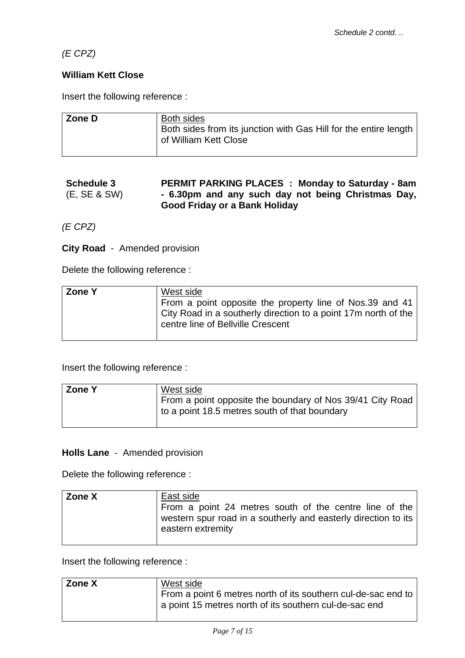*(E CPZ)* 

### **William Kett Close**

Insert the following reference :

| Zone D | <b>Both sides</b><br>Both sides from its junction with Gas Hill for the entire length<br>of William Kett Close |
|--------|----------------------------------------------------------------------------------------------------------------|
|        |                                                                                                                |

### **Schedule 3**  (E, SE & SW) **PERMIT PARKING PLACES : Monday to Saturday - 8am - 6.30pm and any such day not being Christmas Day, Good Friday or a Bank Holiday**

*(E CPZ)* 

**City Road** - Amended provision

Delete the following reference :

| <b>Zone Y</b> | West side                                                      |
|---------------|----------------------------------------------------------------|
|               | From a point opposite the property line of Nos.39 and 41       |
|               | City Road in a southerly direction to a point 17m north of the |
|               | centre line of Bellville Crescent                              |
|               |                                                                |

Insert the following reference :

| <b>Zone Y</b> | West side                                                                                                  |
|---------------|------------------------------------------------------------------------------------------------------------|
|               | From a point opposite the boundary of Nos 39/41 City Road<br>to a point 18.5 metres south of that boundary |

### **Holls Lane** - Amended provision

Delete the following reference :

| Zone X | East side<br>From a point 24 metres south of the centre line of the<br>western spur road in a southerly and easterly direction to its<br>eastern extremity |
|--------|------------------------------------------------------------------------------------------------------------------------------------------------------------|
|        |                                                                                                                                                            |

| Zone X | West side                                                     |
|--------|---------------------------------------------------------------|
|        | From a point 6 metres north of its southern cul-de-sac end to |
|        | a point 15 metres north of its southern cul-de-sac end        |
|        |                                                               |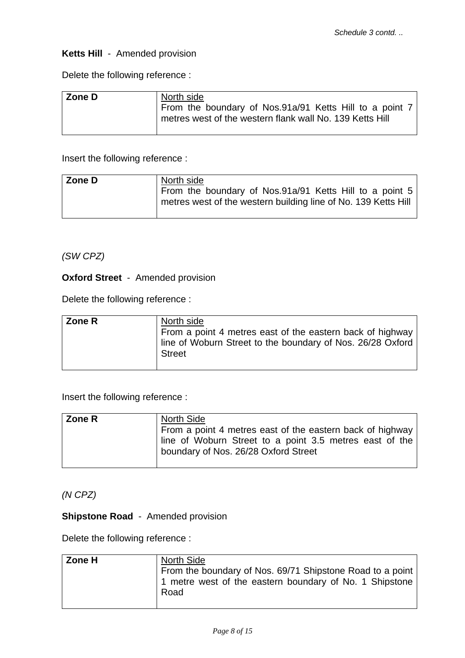### **Ketts Hill** - Amended provision

Delete the following reference :

| Zone D | North side                                                                                                          |
|--------|---------------------------------------------------------------------------------------------------------------------|
|        | From the boundary of Nos.91a/91 Ketts Hill to a point 7<br>metres west of the western flank wall No. 139 Ketts Hill |

Insert the following reference :

| Zone D | North side                                                                                                                |
|--------|---------------------------------------------------------------------------------------------------------------------------|
|        | From the boundary of Nos.91a/91 Ketts Hill to a point 5<br>metres west of the western building line of No. 139 Ketts Hill |

*(SW CPZ)* 

**Oxford Street** - Amended provision

Delete the following reference :

| ∣ Zone R | North side                                                 |
|----------|------------------------------------------------------------|
|          | From a point 4 metres east of the eastern back of highway  |
|          | line of Woburn Street to the boundary of Nos. 26/28 Oxford |
|          | <b>Street</b>                                              |
|          |                                                            |

Insert the following reference :

| Zone R | North Side                                                                                      |
|--------|-------------------------------------------------------------------------------------------------|
|        | From a point 4 metres east of the eastern back of highway                                       |
|        | line of Woburn Street to a point 3.5 metres east of the<br>boundary of Nos. 26/28 Oxford Street |
|        |                                                                                                 |

*(N CPZ)* 

**Shipstone Road** - Amended provision

Delete the following reference :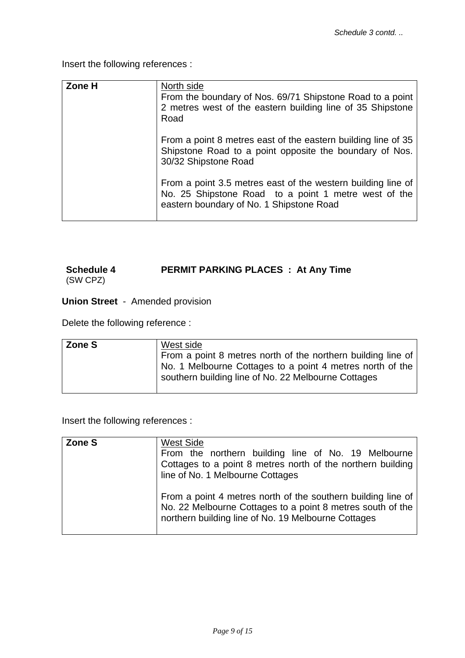Insert the following references :

| Zone H | North side<br>From the boundary of Nos. 69/71 Shipstone Road to a point<br>2 metres west of the eastern building line of 35 Shipstone<br>Road                    |
|--------|------------------------------------------------------------------------------------------------------------------------------------------------------------------|
|        | From a point 8 metres east of the eastern building line of 35<br>Shipstone Road to a point opposite the boundary of Nos.<br>30/32 Shipstone Road                 |
|        | From a point 3.5 metres east of the western building line of<br>No. 25 Shipstone Road to a point 1 metre west of the<br>eastern boundary of No. 1 Shipstone Road |

# **Schedule 4 PERMIT PARKING PLACES : At Any Time**

(SW CPZ)

**Union Street** - Amended provision

Delete the following reference :

| Zone S | West side<br>From a point 8 metres north of the northern building line of<br>No. 1 Melbourne Cottages to a point 4 metres north of the<br>southern building line of No. 22 Melbourne Cottages |
|--------|-----------------------------------------------------------------------------------------------------------------------------------------------------------------------------------------------|
|        |                                                                                                                                                                                               |

| Zone S | <b>West Side</b><br>From the northern building line of No. 19 Melbourne<br>Cottages to a point 8 metres north of the northern building<br>line of No. 1 Melbourne Cottages        |
|--------|-----------------------------------------------------------------------------------------------------------------------------------------------------------------------------------|
|        | From a point 4 metres north of the southern building line of<br>No. 22 Melbourne Cottages to a point 8 metres south of the<br>northern building line of No. 19 Melbourne Cottages |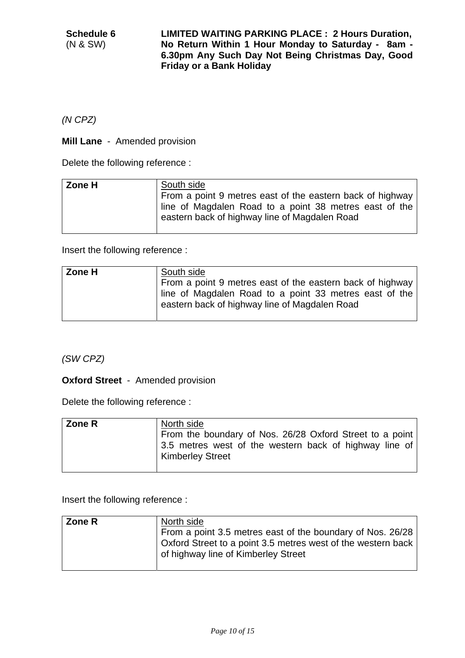**LIMITED WAITING PARKING PLACE : 2 Hours Duration, No Return Within 1 Hour Monday to Saturday - 8am - 6.30pm Any Such Day Not Being Christmas Day, Good Friday or a Bank Holiday** 

*(N CPZ)* 

**Mill Lane** - Amended provision

Delete the following reference :

| Zone H | South side<br>From a point 9 metres east of the eastern back of highway<br>line of Magdalen Road to a point 38 metres east of the<br>eastern back of highway line of Magdalen Road |
|--------|------------------------------------------------------------------------------------------------------------------------------------------------------------------------------------|
|        |                                                                                                                                                                                    |

Insert the following reference :

| Zone H | South side<br>From a point 9 metres east of the eastern back of highway<br>line of Magdalen Road to a point 33 metres east of the<br>eastern back of highway line of Magdalen Road |
|--------|------------------------------------------------------------------------------------------------------------------------------------------------------------------------------------|
|        |                                                                                                                                                                                    |

*(SW CPZ)* 

**Oxford Street** - Amended provision

Delete the following reference :

| <b>Zone R</b> | North side                                                                        |
|---------------|-----------------------------------------------------------------------------------|
|               | From the boundary of Nos. 26/28 Oxford Street to a point                          |
|               | 3.5 metres west of the western back of highway line of<br><b>Kimberley Street</b> |

| <b>Zone R</b> | North side                                                   |
|---------------|--------------------------------------------------------------|
|               | From a point 3.5 metres east of the boundary of Nos. 26/28   |
|               | Oxford Street to a point 3.5 metres west of the western back |
|               | of highway line of Kimberley Street                          |
|               |                                                              |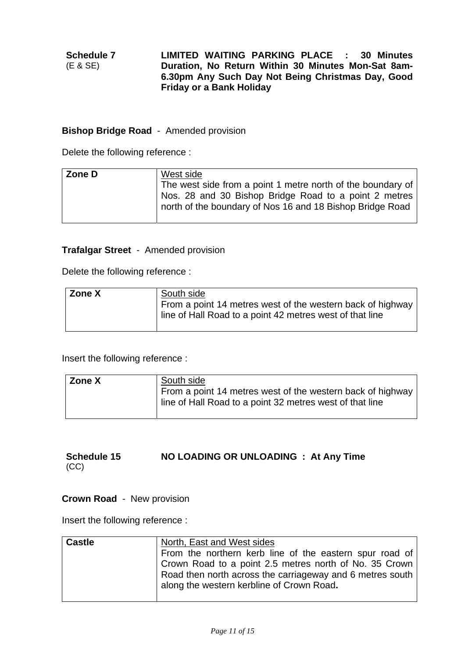### **Bishop Bridge Road** - Amended provision

Delete the following reference :

| north of the boundary of Nos 16 and 18 Bishop Bridge Road | Zone D | West side<br>The west side from a point 1 metre north of the boundary of<br>Nos. 28 and 30 Bishop Bridge Road to a point 2 metres |
|-----------------------------------------------------------|--------|-----------------------------------------------------------------------------------------------------------------------------------|
|-----------------------------------------------------------|--------|-----------------------------------------------------------------------------------------------------------------------------------|

### **Trafalgar Street** - Amended provision

Delete the following reference :

| Zone X | South side                                                                                                             |
|--------|------------------------------------------------------------------------------------------------------------------------|
|        | From a point 14 metres west of the western back of highway<br>line of Hall Road to a point 42 metres west of that line |

Insert the following reference :

| Zone X | South side                                                                                                             |
|--------|------------------------------------------------------------------------------------------------------------------------|
|        | From a point 14 metres west of the western back of highway<br>line of Hall Road to a point 32 metres west of that line |

### **Schedule 15**  (CC) **NO LOADING OR UNLOADING : At Any Time**

### **Crown Road** - New provision

| <b>Castle</b> | North, East and West sides                                |
|---------------|-----------------------------------------------------------|
|               | From the northern kerb line of the eastern spur road of   |
|               | Crown Road to a point 2.5 metres north of No. 35 Crown    |
|               | Road then north across the carriageway and 6 metres south |
|               | along the western kerbline of Crown Road.                 |
|               |                                                           |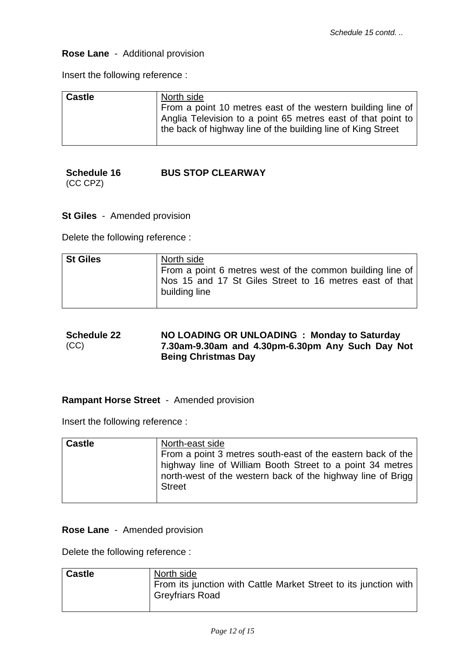### **Rose Lane** - Additional provision

Insert the following reference :

| <b>Castle</b> | North side<br>From a point 10 metres east of the western building line of<br>Anglia Television to a point 65 metres east of that point to<br>the back of highway line of the building line of King Street |
|---------------|-----------------------------------------------------------------------------------------------------------------------------------------------------------------------------------------------------------|
|               |                                                                                                                                                                                                           |

### **Schedule 16**  (CC CPZ) **BUS STOP CLEARWAY**

**St Giles** - Amended provision

Delete the following reference :

| St Giles | North side<br>From a point 6 metres west of the common building line of<br>Nos 15 and 17 St Giles Street to 16 metres east of that<br>building line |
|----------|-----------------------------------------------------------------------------------------------------------------------------------------------------|
|          |                                                                                                                                                     |

### **Schedule 22**  (CC) **NO LOADING OR UNLOADING : Monday to Saturday 7.30am-9.30am and 4.30pm-6.30pm Any Such Day Not Being Christmas Day**

### **Rampant Horse Street** - Amended provision

Insert the following reference :

| <b>Castle</b> | North-east side                                             |
|---------------|-------------------------------------------------------------|
|               | From a point 3 metres south-east of the eastern back of the |
|               | highway line of William Booth Street to a point 34 metres   |
|               | north-west of the western back of the highway line of Brigg |
|               | <b>Street</b>                                               |
|               |                                                             |

### **Rose Lane** - Amended provision

Delete the following reference :

| <b>Castle</b> | North side                                                                                 |
|---------------|--------------------------------------------------------------------------------------------|
|               | From its junction with Cattle Market Street to its junction with<br><b>Greyfriars Road</b> |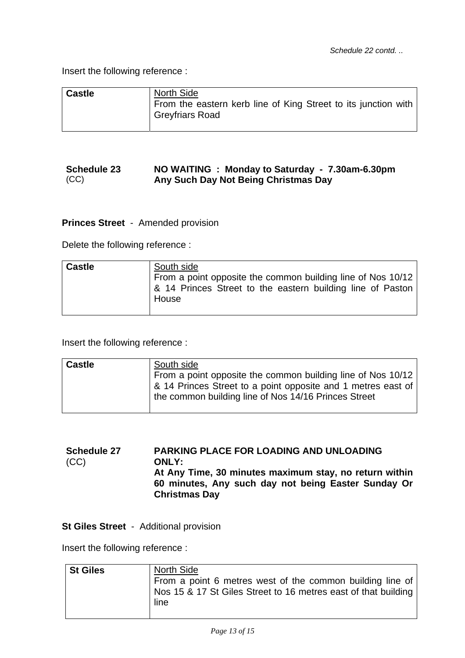Insert the following reference :

| <b>Castle</b> | <b>North Side</b>                                                                        |
|---------------|------------------------------------------------------------------------------------------|
|               | From the eastern kerb line of King Street to its junction with<br><b>Greyfriars Road</b> |

#### **Schedule 23**  (CC) **NO WAITING : Monday to Saturday - 7.30am-6.30pm Any Such Day Not Being Christmas Day**

**Princes Street** - Amended provision

Delete the following reference :

| <b>Castle</b> | South side                                                          |
|---------------|---------------------------------------------------------------------|
|               | From a point opposite the common building line of Nos 10/12         |
|               | & 14 Princes Street to the eastern building line of Paston<br>House |

Insert the following reference :

| <b>Castle</b> | South side                                                   |
|---------------|--------------------------------------------------------------|
|               | From a point opposite the common building line of Nos 10/12  |
|               | & 14 Princes Street to a point opposite and 1 metres east of |
|               | the common building line of Nos 14/16 Princes Street         |
|               |                                                              |

**Schedule 27**  (CC) **PARKING PLACE FOR LOADING AND UNLOADING ONLY: At Any Time, 30 minutes maximum stay, no return within 60 minutes, Any such day not being Easter Sunday Or Christmas Day** 

**St Giles Street** - Additional provision

| <b>St Giles</b> | North Side                                                     |
|-----------------|----------------------------------------------------------------|
|                 | From a point 6 metres west of the common building line of      |
|                 | Nos 15 & 17 St Giles Street to 16 metres east of that building |
|                 | line                                                           |
|                 |                                                                |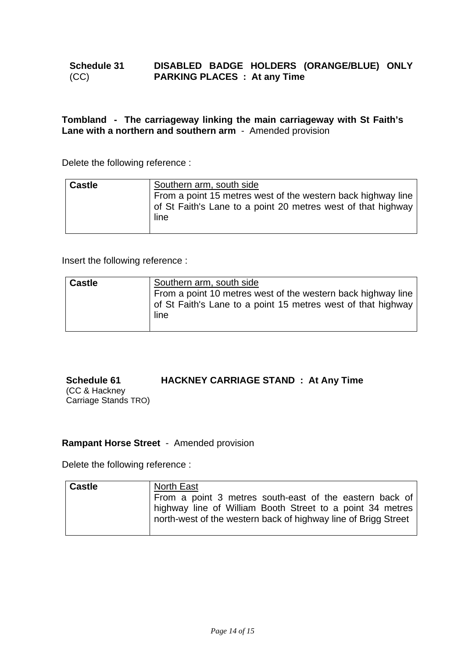### **Schedule 31**  (CC) **DISABLED BADGE HOLDERS (ORANGE/BLUE) ONLY PARKING PLACES : At any Time**

### **Tombland - The carriageway linking the main carriageway with St Faith's Lane with a northern and southern arm** - Amended provision

Delete the following reference :

| <b>Castle</b> | Southern arm, south side<br>From a point 15 metres west of the western back highway line<br>of St Faith's Lane to a point 20 metres west of that highway |
|---------------|----------------------------------------------------------------------------------------------------------------------------------------------------------|
|               | line                                                                                                                                                     |

Insert the following reference :

| <b>Castle</b> | Southern arm, south side<br>From a point 10 metres west of the western back highway line<br>of St Faith's Lane to a point 15 metres west of that highway<br>line |
|---------------|------------------------------------------------------------------------------------------------------------------------------------------------------------------|
|               |                                                                                                                                                                  |

### **Schedule 61 HACKNEY CARRIAGE STAND : At Any Time**

(CC & Hackney Carriage Stands TRO)

### **Rampant Horse Street** - Amended provision

Delete the following reference :

| <b>Castle</b> | North East                                                     |
|---------------|----------------------------------------------------------------|
|               | From a point 3 metres south-east of the eastern back of        |
|               | highway line of William Booth Street to a point 34 metres      |
|               | north-west of the western back of highway line of Brigg Street |
|               |                                                                |